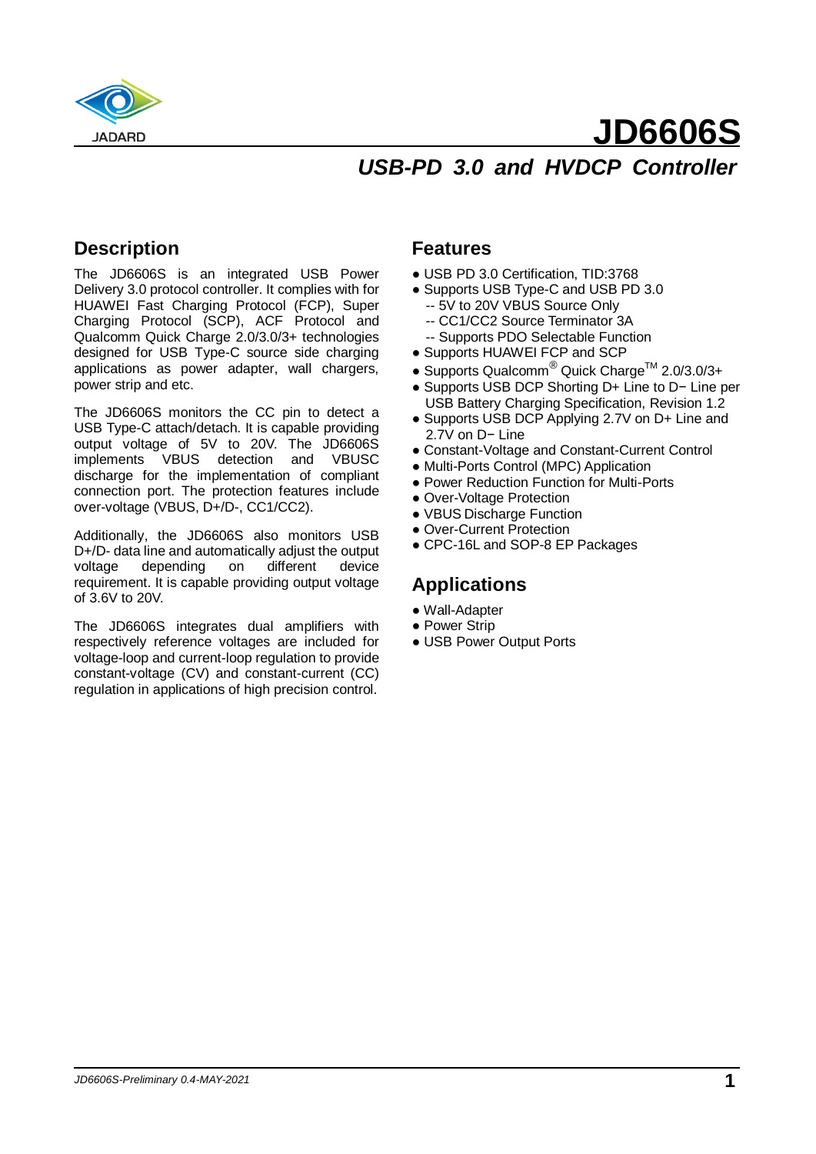

## **JD6606S** *USB-PD 3.0 and HVDCP Controller*

### **Description**

The JD6606S is an integrated USB Power Delivery 3.0 protocol controller. It complies with for HUAWEI Fast Charging Protocol (FCP), Super Charging Protocol (SCP), ACF Protocol and Qualcomm Quick Charge 2.0/3.0/3+ technologies designed for USB Type-C source side charging applications as power adapter, wall chargers, power strip and etc.

The JD6606S monitors the CC pin to detect a USB Type-C attach/detach. It is capable providing output voltage of 5V to 20V. The JD6606S implements VBUS detection and VBUSC discharge for the implementation of compliant connection port. The protection features include over-voltage (VBUS, D+/D-, CC1/CC2).

Additionally, the JD6606S also monitors USB D+/D- data line and automatically adjust the output voltage depending on different device requirement. It is capable providing output voltage of 3.6V to 20V.

The JD6606S integrates dual amplifiers with respectively reference voltages are included for voltage-loop and current-loop regulation to provide constant-voltage (CV) and constant-current (CC) regulation in applications of high precision control.

#### **Features**

- USB PD 3.0 Certification, TID:3768
- Supports USB Type-C and USB PD 3.0
	- -- 5V to 20V VBUS Source Only
	- -- CC1/CC2 Source Terminator 3A
	- -- Supports PDO Selectable Function
- Supports HUAWEI FCP and SCP
- Supports Qualcomm<sup>®</sup> Quick Charge<sup>TM</sup> 2.0/3.0/3+
- Supports USB DCP Shorting D+ Line to D− Line per USB Battery Charging Specification, Revision 1.2
- Supports USB DCP Applying 2.7V on D+ Line and 2.7V on D− Line
- Constant-Voltage and Constant-Current Control
- Multi-Ports Control (MPC) Application
- Power Reduction Function for Multi-Ports
- Over-Voltage Protection
- VBUS Discharge Function
- Over-Current Protection
- CPC-16L and SOP-8 EP Packages

#### **Applications**

- Wall-Adapter
- Power Strip
- USB Power Output Ports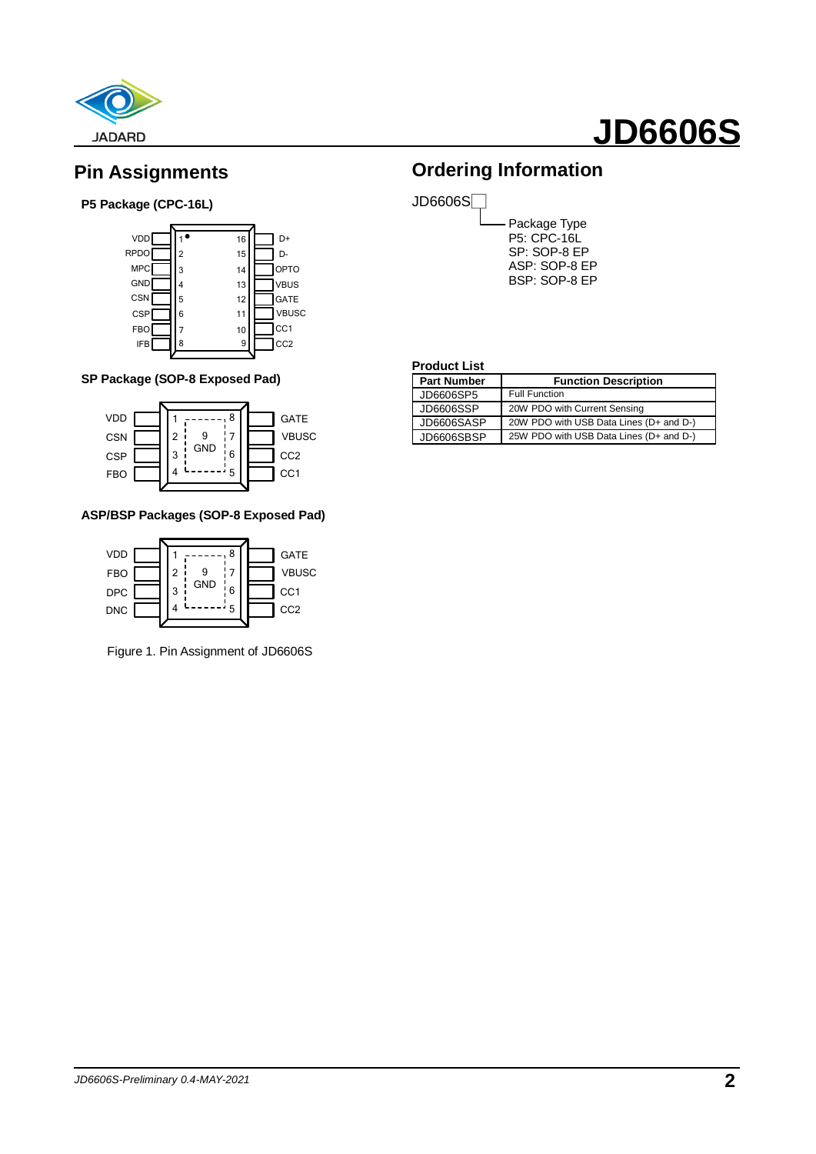

### **Pin Assignments**

#### **P5 Package (CPC-16L)**



#### **SP Package (SOP-8 Exposed Pad)**



#### **ASP/BSP Packages (SOP-8 Exposed Pad)**



Figure 1. Pin Assignment of JD6606S

### **Ordering Information**



Package Type P5: CPC-16L SP: SOP-8 EP ASP: SOP-8 EP BSP: SOP-8 EP

#### **Product List**

| <b>Part Number</b> | <b>Function Description</b>             |
|--------------------|-----------------------------------------|
| JD6606SP5          | <b>Full Function</b>                    |
| JD6606SSP          | 20W PDO with Current Sensing            |
| JD6606SASP         | 20W PDO with USB Data Lines (D+ and D-) |
| JD6606SBSP         | 25W PDO with USB Data Lines (D+ and D-) |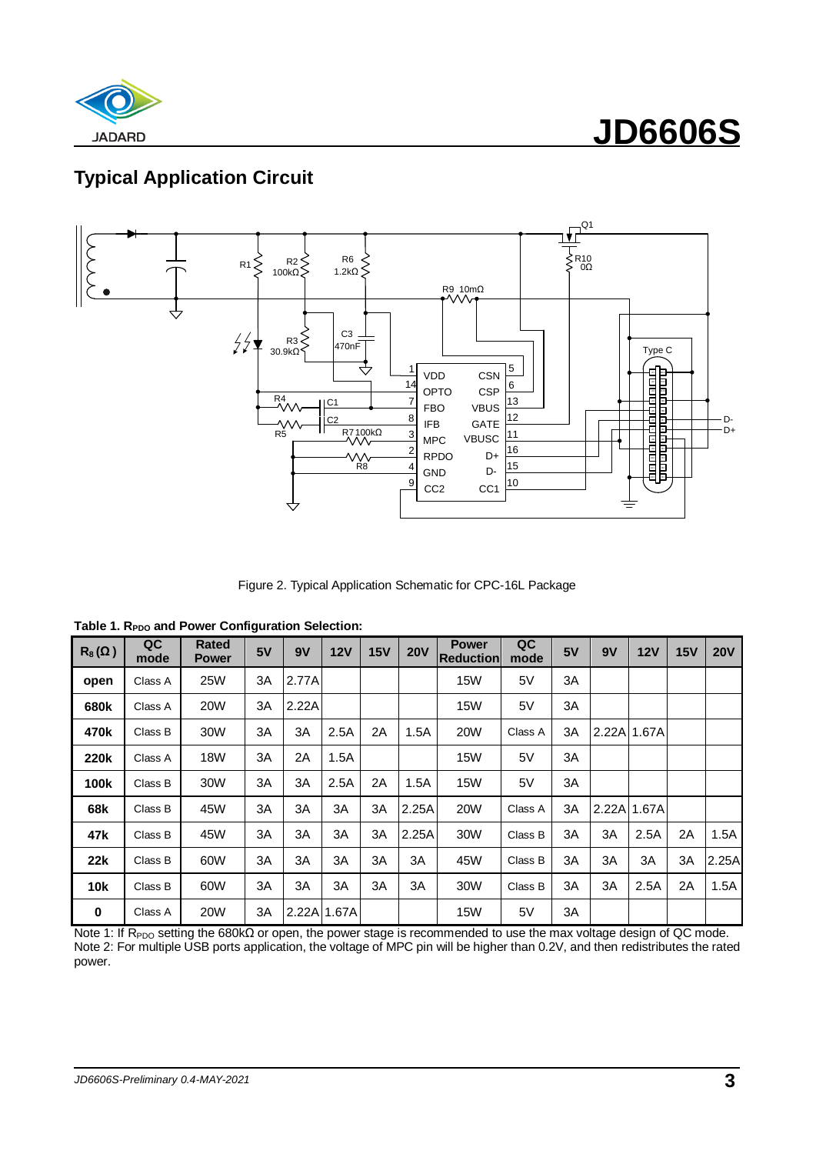

## **Typical Application Circuit**



Figure 2. Typical Application Schematic for CPC-16L Package

**Table 1. R<sub>PDO</sub> and Power Configuration Selection:** 

| $R_8(\Omega)$ | QC<br>mode | <b>Rated</b><br><b>Power</b> | 5V | 9V          | 12V  | 15V | <b>20V</b> | <b>Power</b><br><b>Reduction</b> | QC<br>mode | 5V | 9V    | 12V   | 15V | <b>20V</b> |
|---------------|------------|------------------------------|----|-------------|------|-----|------------|----------------------------------|------------|----|-------|-------|-----|------------|
| open          | Class A    | <b>25W</b>                   | 3A | 2.77A       |      |     |            | <b>15W</b>                       | 5V         | 3A |       |       |     |            |
| 680k          | Class A    | <b>20W</b>                   | 3A | 2.22A       |      |     |            | <b>15W</b>                       | 5V         | 3A |       |       |     |            |
| 470k          | Class B    | 30W                          | ЗΑ | 3A          | 2.5A | 2A  | 1.5A       | <b>20W</b>                       | Class A    | ЗΑ | 2.22A | 1.67A |     |            |
| 220k          | Class A    | 18W                          | 3A | 2Α          | 1.5A |     |            | 15W                              | 5V         | ЗA |       |       |     |            |
| 100k          | Class B    | 30W                          | 3A | 3A          | 2.5A | 2A  | 1.5A       | <b>15W</b>                       | 5V         | ЗΑ |       |       |     |            |
| 68k           | Class B    | 45W                          | 3A | 3A          | 3A   | ЗA  | 2.25A      | <b>20W</b>                       | Class A    | ЗΑ | 2.22A | 1.67A |     |            |
| 47k           | Class B    | 45W                          | 3A | 3A          | 3A   | ЗA  | 2.25A      | 30W                              | Class B    | 3A | 3A    | 2.5A  | 2A  | 1.5A       |
| 22k           | Class B    | 60W                          | 3A | 3A          | 3A   | 3A  | ЗA         | 45W                              | Class B    | 3A | 3A    | 3A    | 3A  | 2.25A      |
| 10k           | Class B    | 60W                          | 3A | 3A          | 3A   | ЗA  | 3A         | 30W                              | Class B    | 3A | 3A    | 2.5A  | 2A  | 1.5A       |
| $\bf{0}$      | Class A    | 20W                          | ЗΑ | 2.22A 1.67A |      |     |            | <b>15W</b>                       | 5V         | ЗΑ |       |       |     |            |

Note 1: If R<sub>PDO</sub> setting the 680kΩ or open, the power stage is recommended to use the max voltage design of QC mode. Note 2: For multiple USB ports application, the voltage of MPC pin will be higher than 0.2V, and then redistributes the rated power.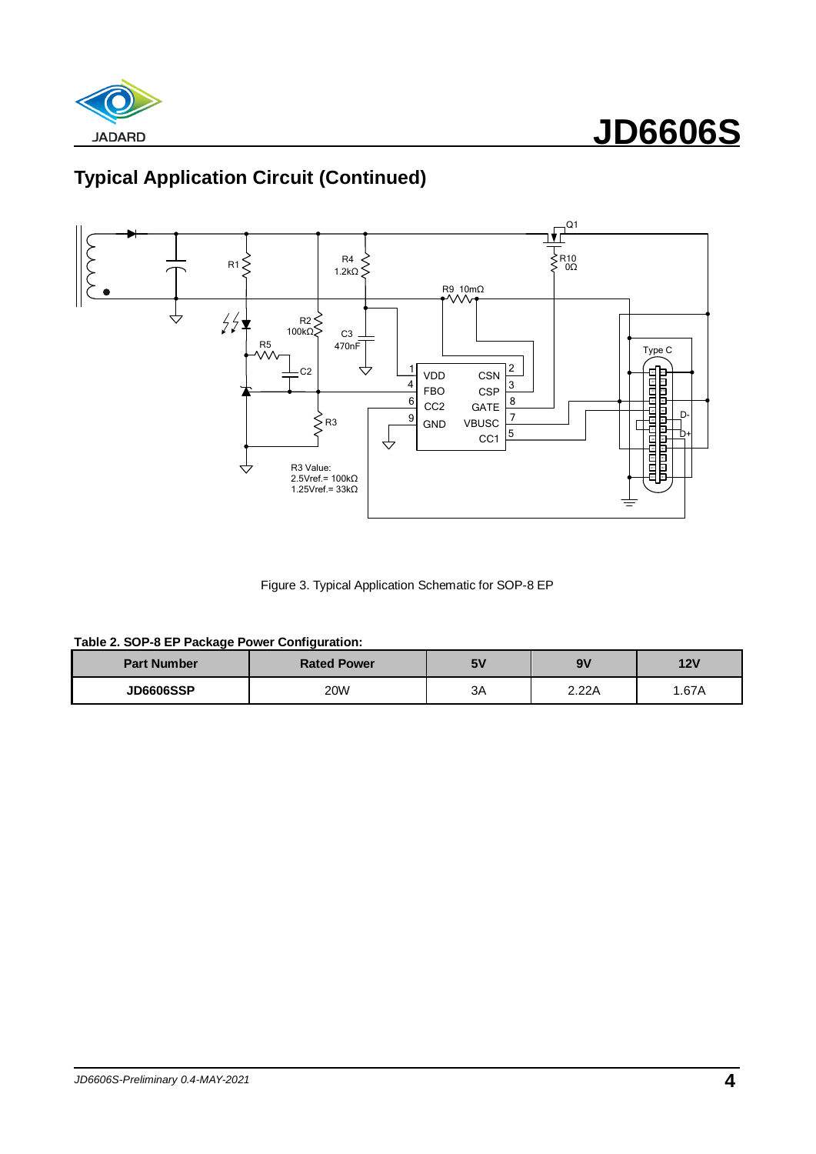



Figure 3. Typical Application Schematic for SOP-8 EP

| <b>Part Number</b> | <b>Rated Power</b> | <b>5V</b> | 9V    | 12V   |  |
|--------------------|--------------------|-----------|-------|-------|--|
| <b>JD6606SSP</b>   | 20W                | 3A        | 2.22A | 1.67A |  |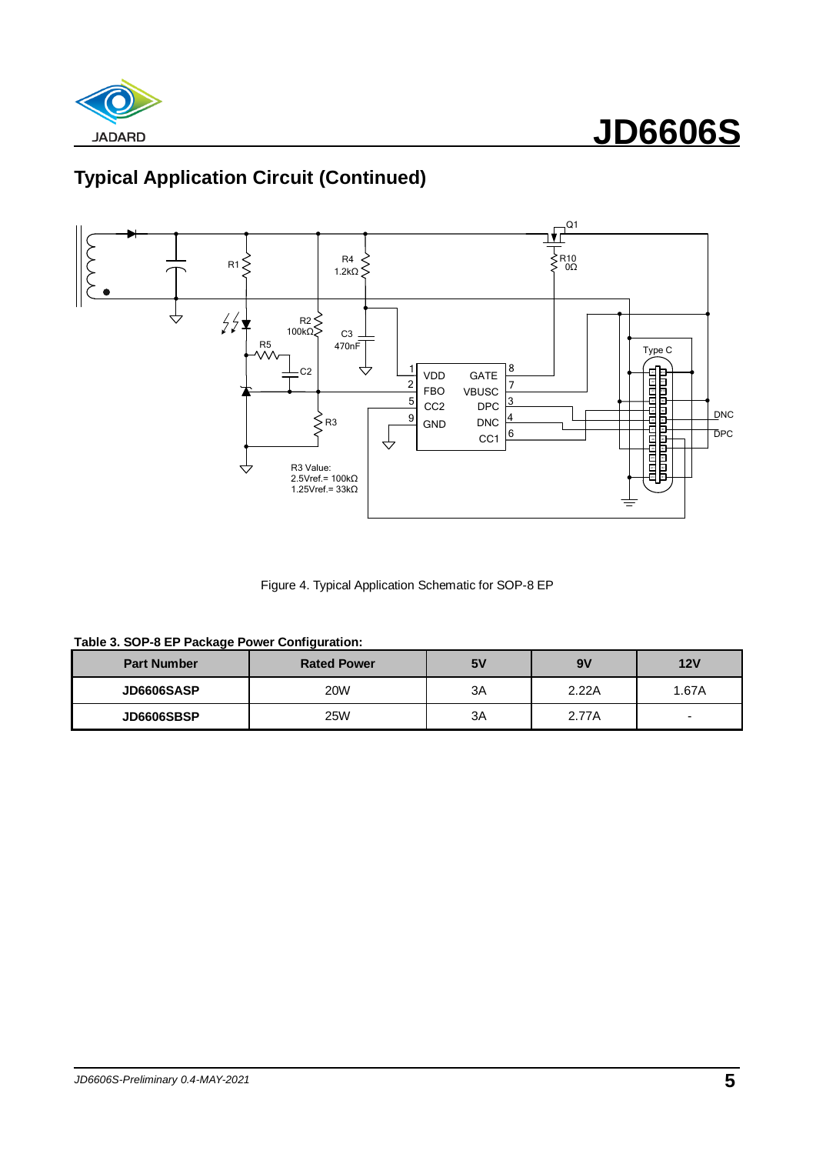



Figure 4. Typical Application Schematic for SOP-8 EP

|  |  |  | Table 3. SOP-8 EP Package Power Configuration: |
|--|--|--|------------------------------------------------|

| <b>Part Number</b> | <b>Rated Power</b> | 5٧ | 9V    | 12V   |  |
|--------------------|--------------------|----|-------|-------|--|
| <b>JD6606SASP</b>  | <b>20W</b>         | ЗA | 2.22A | 1.67A |  |
| JD6606SBSP         | <b>25W</b>         | ЗA | 2.77A | -     |  |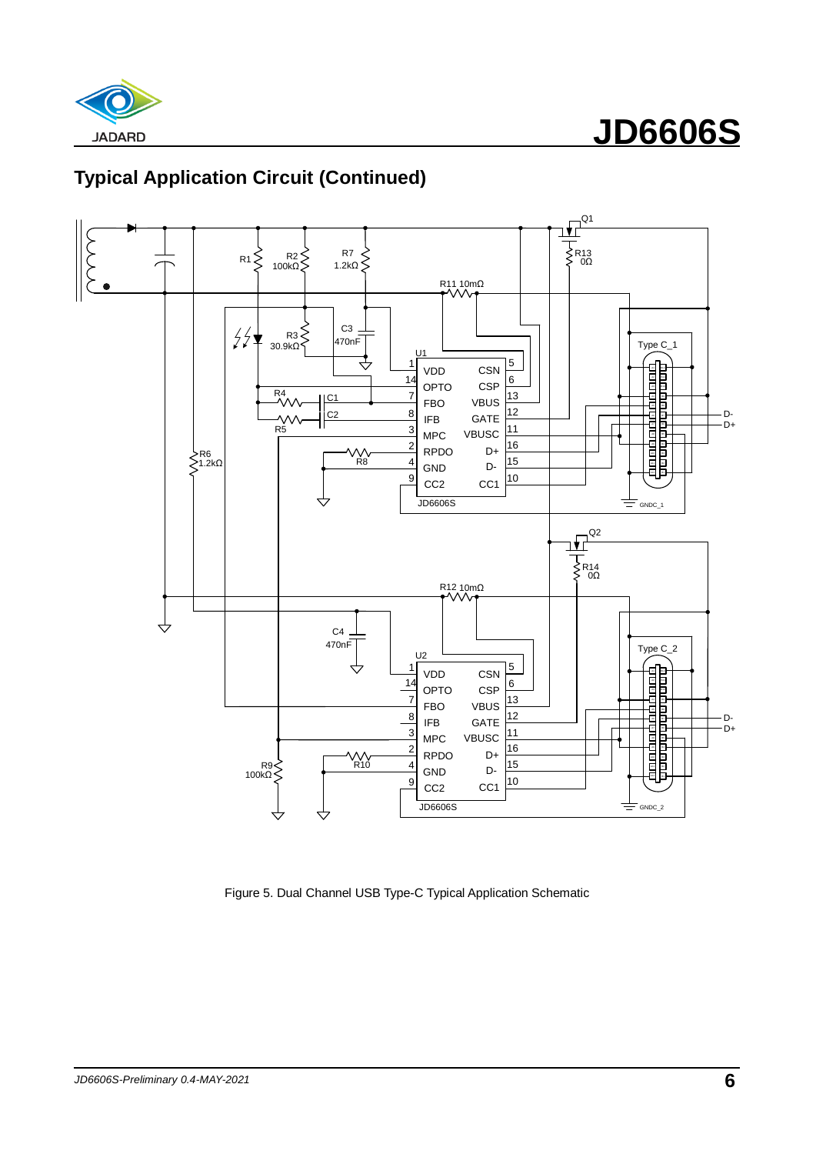



Figure 5. Dual Channel USB Type-C Typical Application Schematic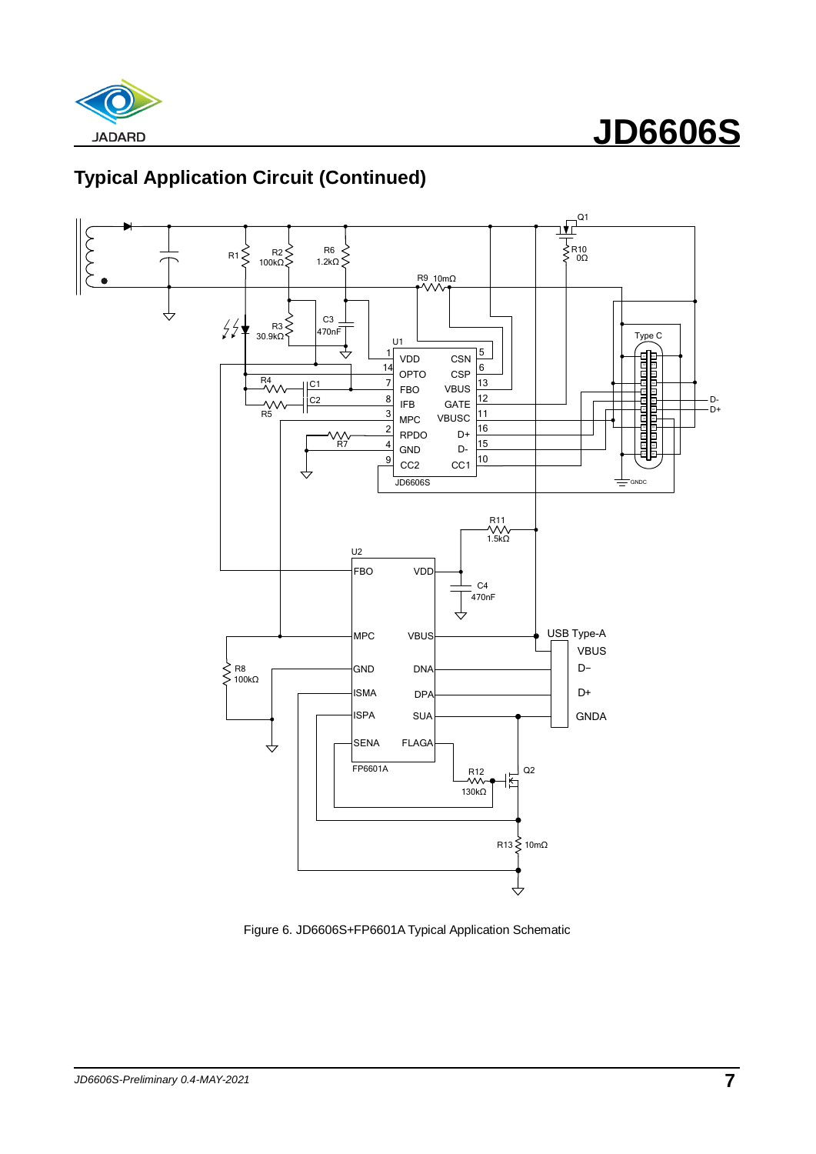



Figure 6. JD6606S+FP6601A Typical Application Schematic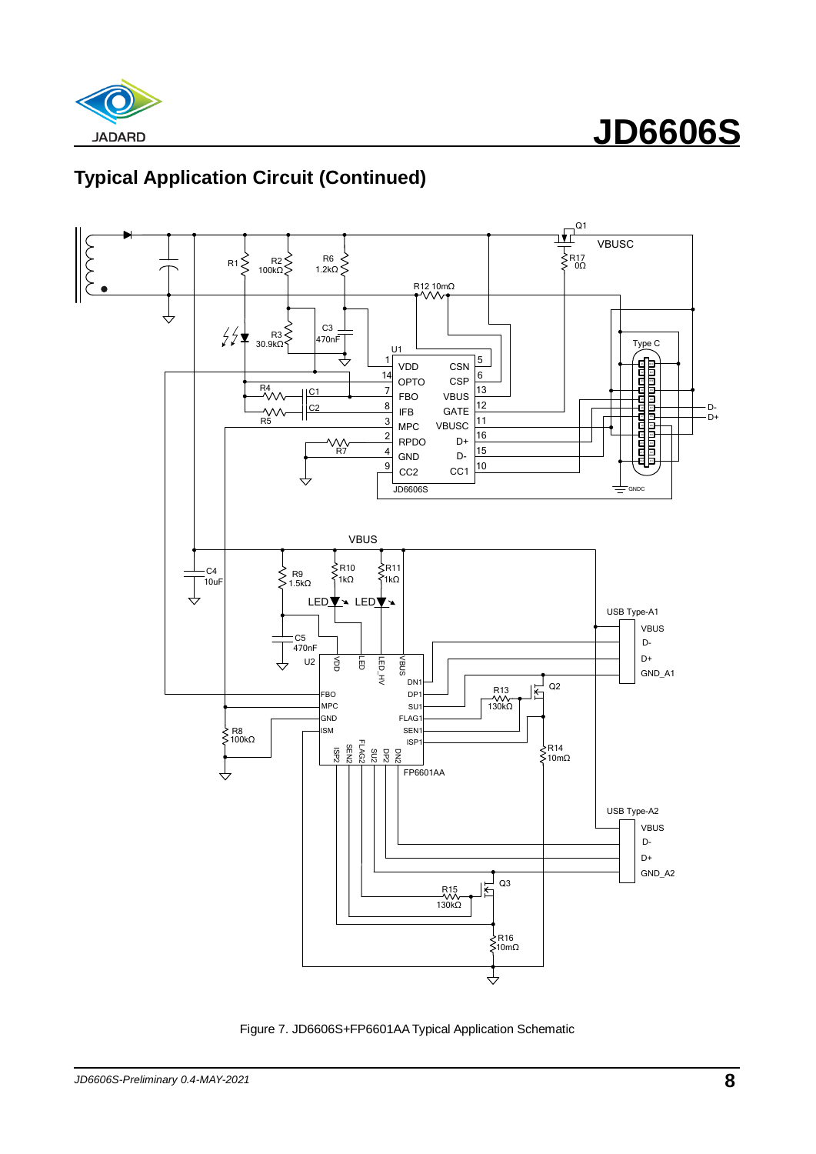





Figure 7. JD6606S+FP6601AA Typical Application Schematic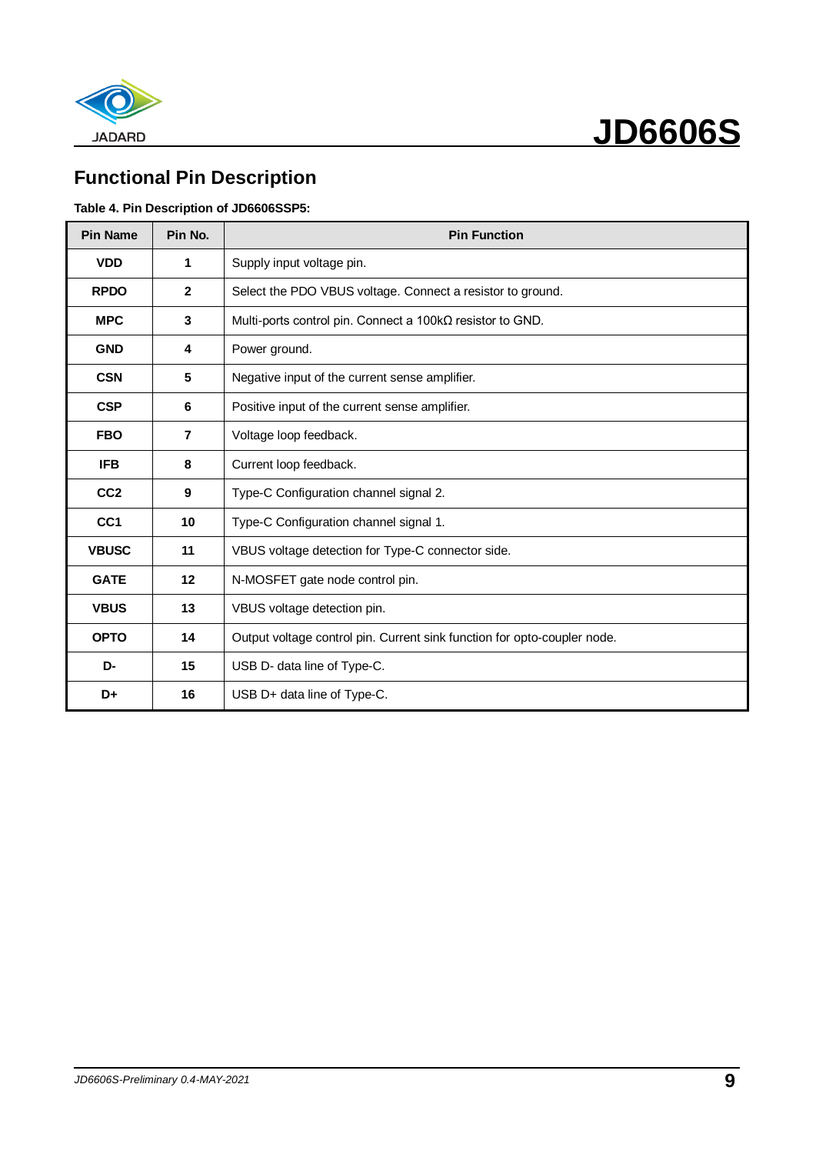

## **Functional Pin Description**

#### **Table 4. Pin Description of JD6606SSP5:**

| <b>Pin Name</b> | Pin No.        | <b>Pin Function</b>                                                      |
|-----------------|----------------|--------------------------------------------------------------------------|
| <b>VDD</b>      | 1              | Supply input voltage pin.                                                |
| <b>RPDO</b>     | $\mathbf{2}$   | Select the PDO VBUS voltage. Connect a resistor to ground.               |
| <b>MPC</b>      | $\mathbf{3}$   | Multi-ports control pin. Connect a $100 \text{k}\Omega$ resistor to GND. |
| <b>GND</b>      | 4              | Power ground.                                                            |
| <b>CSN</b>      | 5              | Negative input of the current sense amplifier.                           |
| <b>CSP</b>      | 6              | Positive input of the current sense amplifier.                           |
| <b>FBO</b>      | $\overline{7}$ | Voltage loop feedback.                                                   |
| <b>IFB</b>      | 8              | Current loop feedback.                                                   |
| CC <sub>2</sub> | 9              | Type-C Configuration channel signal 2.                                   |
| CC <sub>1</sub> | 10             | Type-C Configuration channel signal 1.                                   |
| <b>VBUSC</b>    | 11             | VBUS voltage detection for Type-C connector side.                        |
| <b>GATE</b>     | 12             | N-MOSFET gate node control pin.                                          |
| <b>VBUS</b>     | 13             | VBUS voltage detection pin.                                              |
| <b>OPTO</b>     | 14             | Output voltage control pin. Current sink function for opto-coupler node. |
| D-              | 15             | USB D- data line of Type-C.                                              |
| D+              | 16             | USB D+ data line of Type-C.                                              |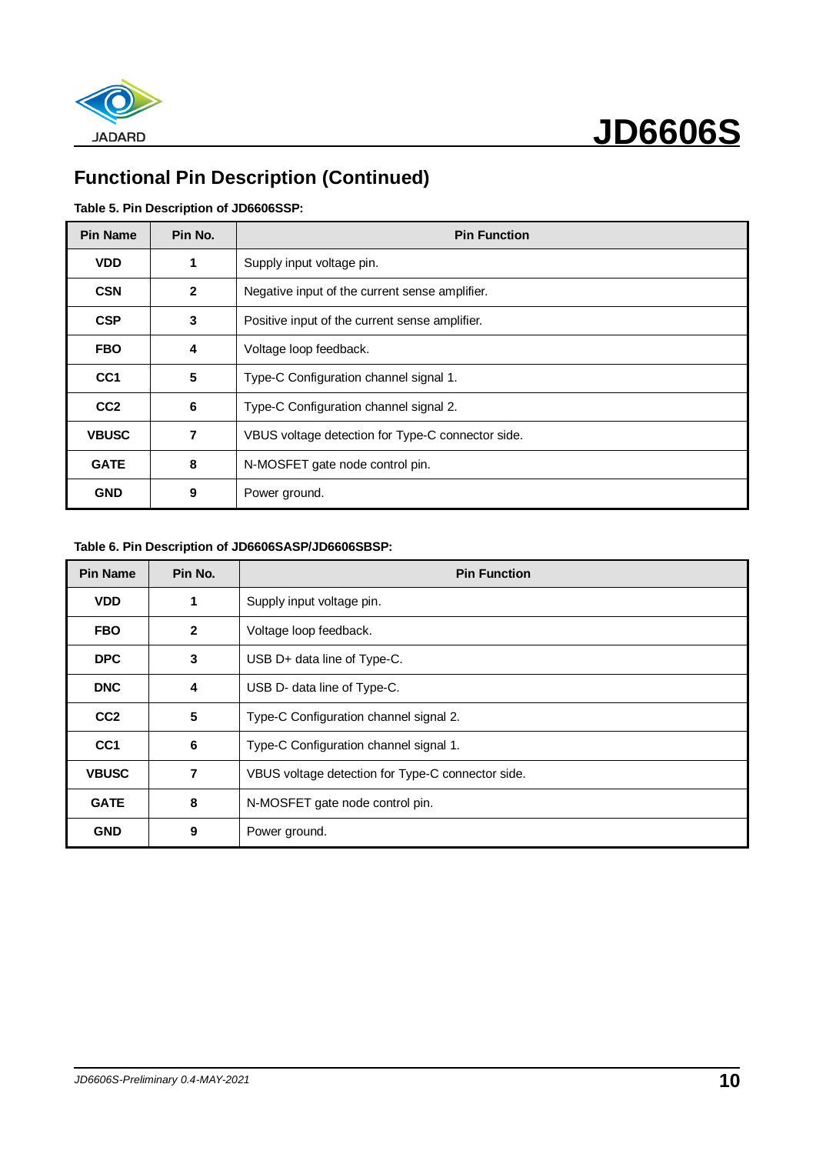

## **Functional Pin Description (Continued)**

#### **Table 5. Pin Description of JD6606SSP:**

| <b>Pin Name</b> | Pin No.      | <b>Pin Function</b>                               |
|-----------------|--------------|---------------------------------------------------|
| <b>VDD</b>      | 1            | Supply input voltage pin.                         |
| <b>CSN</b>      | $\mathbf{2}$ | Negative input of the current sense amplifier.    |
| <b>CSP</b>      | 3            | Positive input of the current sense amplifier.    |
| <b>FBO</b>      | 4            | Voltage loop feedback.                            |
| CC <sub>1</sub> | 5            | Type-C Configuration channel signal 1.            |
| CC <sub>2</sub> | 6            | Type-C Configuration channel signal 2.            |
| <b>VBUSC</b>    | 7            | VBUS voltage detection for Type-C connector side. |
| <b>GATE</b>     | 8            | N-MOSFET gate node control pin.                   |
| <b>GND</b>      | 9            | Power ground.                                     |

#### **Table 6. Pin Description of JD6606SASP/JD6606SBSP:**

| <b>Pin Name</b> | Pin No.      | <b>Pin Function</b>                               |
|-----------------|--------------|---------------------------------------------------|
| <b>VDD</b>      | 1            | Supply input voltage pin.                         |
| <b>FBO</b>      | $\mathbf{2}$ | Voltage loop feedback.                            |
| <b>DPC</b>      | 3            | USB D+ data line of Type-C.                       |
| <b>DNC</b>      | 4            | USB D- data line of Type-C.                       |
| CC <sub>2</sub> | 5            | Type-C Configuration channel signal 2.            |
| CC <sub>1</sub> | 6            | Type-C Configuration channel signal 1.            |
| <b>VBUSC</b>    | 7            | VBUS voltage detection for Type-C connector side. |
| <b>GATE</b>     | 8            | N-MOSFET gate node control pin.                   |
| <b>GND</b>      | 9            | Power ground.                                     |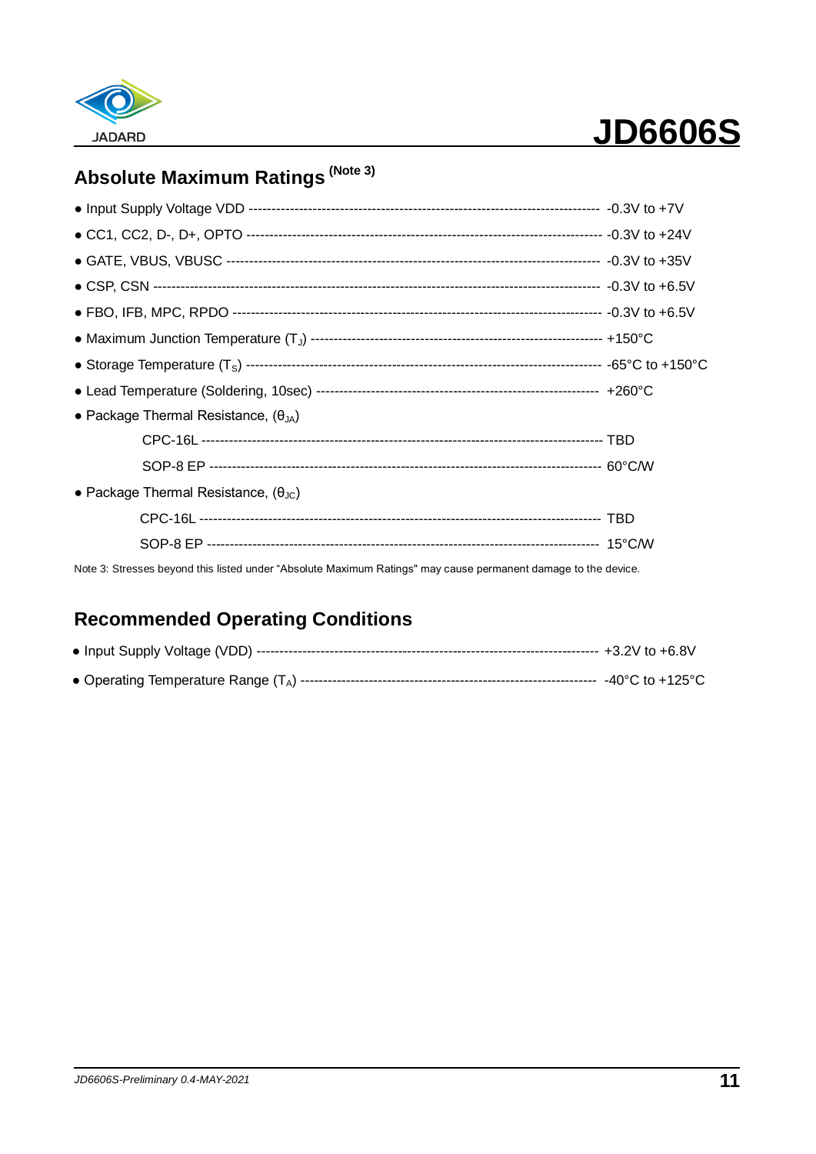

## **Absolute Maximum Ratings (Note 3)**

| • Package Thermal Resistance, $(\theta_{JA})$        |  |
|------------------------------------------------------|--|
|                                                      |  |
|                                                      |  |
| • Package Thermal Resistance, $(\theta_{\text{JC}})$ |  |
|                                                      |  |
|                                                      |  |

Note 3: Stresses beyond this listed under "Absolute Maximum Ratings" may cause permanent damage to the device.

### **Recommended Operating Conditions**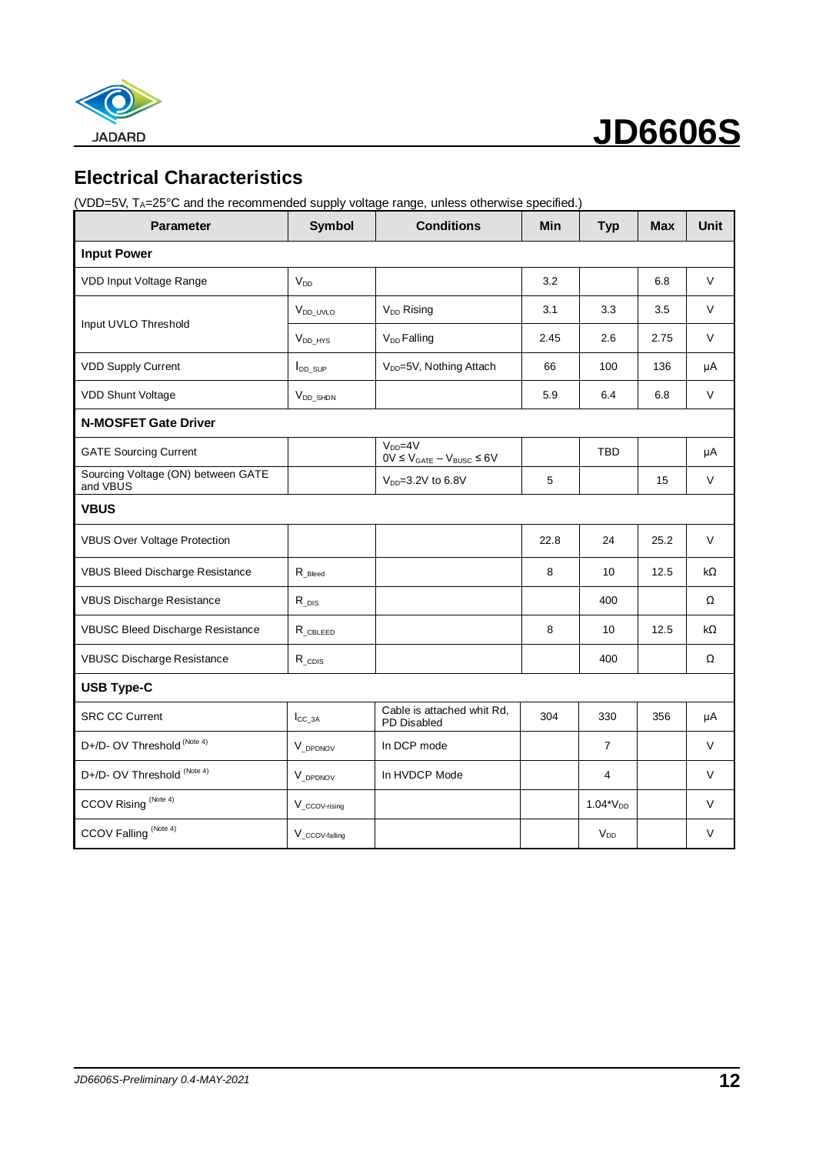

 **JD6606S**

## **Electrical Characteristics**

(VDD=5V, TA=25°C and the recommended supply voltage range, unless otherwise specified.)

| <b>Parameter</b>                               | <b>Symbol</b>              | <b>Conditions</b>                                      | Min  | <b>Typ</b>     | <b>Max</b> | <b>Unit</b> |
|------------------------------------------------|----------------------------|--------------------------------------------------------|------|----------------|------------|-------------|
| <b>Input Power</b>                             |                            |                                                        |      |                |            |             |
| VDD Input Voltage Range                        | $V_{DD}$                   |                                                        | 3.2  |                | 6.8        | V           |
|                                                | V <sub>DD_UVLO</sub>       | V <sub>DD</sub> Rising                                 | 3.1  | 3.3            | 3.5        | $\vee$      |
| Input UVLO Threshold                           | $V_{DD\_HYS}$              | V <sub>DD</sub> Falling                                | 2.45 | 2.6            | 2.75       | V           |
| <b>VDD Supply Current</b>                      | $I_{DD\_SUP}$              | V <sub>DD</sub> =5V, Nothing Attach                    | 66   | 100            | 136        | μA          |
| <b>VDD Shunt Voltage</b>                       | $V_{DD\_SHDN}$             |                                                        | 5.9  | 6.4            | 6.8        | V           |
| <b>N-MOSFET Gate Driver</b>                    |                            |                                                        |      |                |            |             |
| <b>GATE Sourcing Current</b>                   |                            | $V_{DD} = 4V$<br>$0V \leq V_{GATE} - V_{BUSC} \leq 6V$ |      | <b>TBD</b>     |            | μA          |
| Sourcing Voltage (ON) between GATE<br>and VBUS |                            | V <sub>DD</sub> =3.2V to 6.8V                          | 5    |                | 15         | V           |
| <b>VBUS</b>                                    |                            |                                                        |      |                |            |             |
| <b>VBUS Over Voltage Protection</b>            |                            |                                                        | 22.8 | 24             | 25.2       | $\vee$      |
| VBUS Bleed Discharge Resistance                | $R_{\text{Bleed}}$         |                                                        | 8    | 10             | 12.5       | kΩ          |
| <b>VBUS Discharge Resistance</b>               | $R_{DS}$                   |                                                        |      | 400            |            | Ω           |
| VBUSC Bleed Discharge Resistance               | $R$ CBLEED                 |                                                        | 8    | 10             | 12.5       | kΩ          |
| <b>VBUSC Discharge Resistance</b>              | $R_{CDIS}$                 |                                                        |      | 400            |            | Ω           |
| <b>USB Type-C</b>                              |                            |                                                        |      |                |            |             |
| <b>SRC CC Current</b>                          | $I_{CC_3A}$                | Cable is attached whit Rd,<br>PD Disabled              | 304  | 330            | 356        | μA          |
| D+/D- OV Threshold (Note 4)                    | V DPDNOV                   | In DCP mode                                            |      | $\overline{7}$ |            | $\vee$      |
| D+/D- OV Threshold (Note 4)                    | V DPDNOV                   | In HVDCP Mode                                          |      | $\overline{4}$ |            | V           |
| CCOV Rising (Note 4)                           | $V_{\_CCOV\text{-rising}}$ |                                                        |      | $1.04*V_{DD}$  |            | $\vee$      |
| CCOV Falling <sup>(Note 4)</sup>               | V_ccov-falling             |                                                        |      | $V_{DD}$       |            | $\vee$      |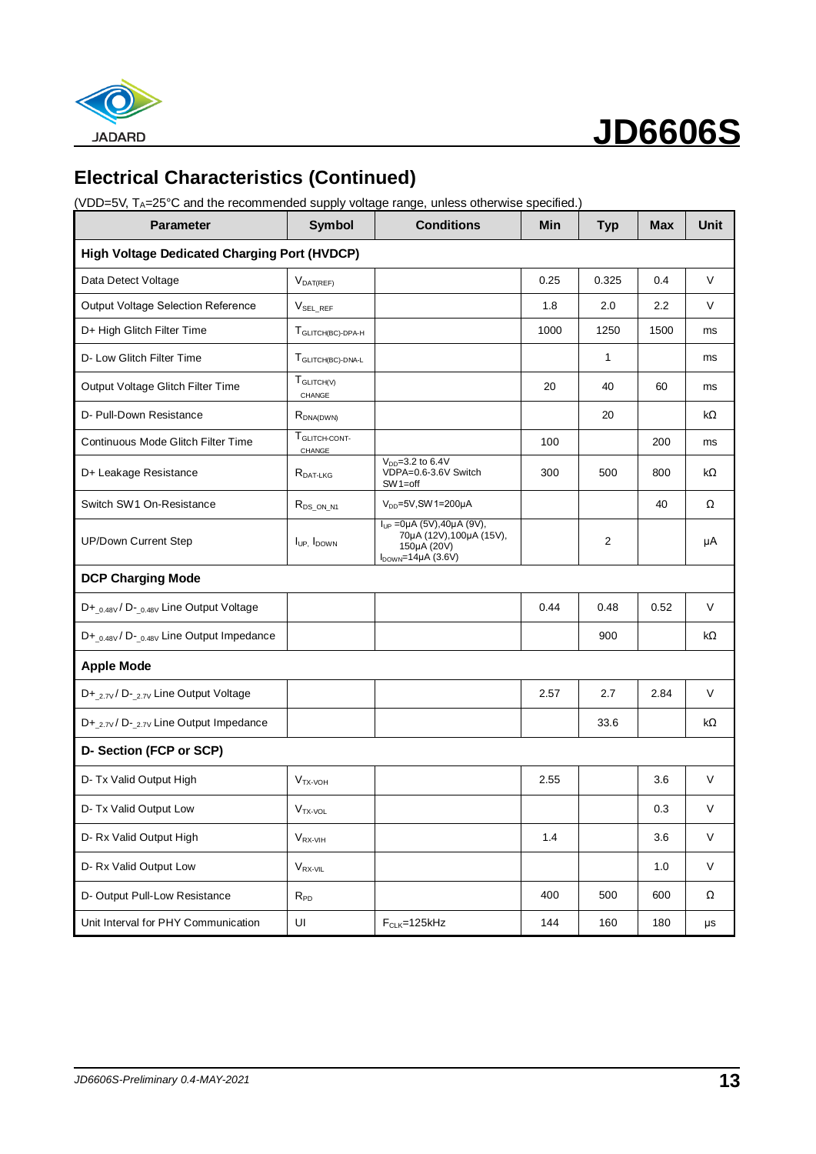

## **Electrical Characteristics (Continued)**

(VDD=5V, TA=25°C and the recommended supply voltage range, unless otherwise specified.)

| Parameter                                           | Symbol                              | <b>Conditions</b>                                                                                            | Min  | <b>Typ</b> | <b>Max</b> | <b>Unit</b>  |
|-----------------------------------------------------|-------------------------------------|--------------------------------------------------------------------------------------------------------------|------|------------|------------|--------------|
| <b>High Voltage Dedicated Charging Port (HVDCP)</b> |                                     |                                                                                                              |      |            |            |              |
| Data Detect Voltage                                 | $V_{DAT(REF)}$                      |                                                                                                              | 0.25 | 0.325      | 0.4        | V            |
| <b>Output Voltage Selection Reference</b>           | <b>VSEL REF</b>                     |                                                                                                              | 1.8  | 2.0        | 2.2        | V            |
| D+ High Glitch Filter Time                          | T <sub>GLITCH(BC)-DPA-H</sub>       |                                                                                                              | 1000 | 1250       | 1500       | ms           |
| D- Low Glitch Filter Time                           | T <sub>GLITCH(BC)-DNA-L</sub>       |                                                                                                              |      | 1          |            | ms           |
| Output Voltage Glitch Filter Time                   | <b>T</b> GLITCHIV<br>CHANGE         |                                                                                                              | 20   | 40         | 60         | ms           |
| D- Pull-Down Resistance                             | $R_{DNA(DWN)}$                      |                                                                                                              |      | 20         |            | kΩ           |
| Continuous Mode Glitch Filter Time                  | T <sub>GLITCH-CONT-</sub><br>CHANGE |                                                                                                              | 100  |            | 200        | ms           |
| D+ Leakage Resistance                               | $R_{\text{DAT-LKG}}$                | $V_{DD} = 3.2 \text{ to } 6.4 \text{V}$<br>VDPA=0.6-3.6V Switch<br>$SW1 = off$                               | 300  | 500        | 800        | kΩ           |
| Switch SW1 On-Resistance                            | $R_{DS_ON_N1}$                      | $V_{DD}$ =5V, SW 1=200µA                                                                                     |      |            | 40         | Ω            |
| <b>UP/Down Current Step</b>                         | lup. I <sub>DOWN</sub>              | $I_{UP}$ = 0µA (5V), 40µA (9V),<br>70µA (12V), 100µA (15V),<br>150µA (20V)<br>$I_{\text{DOWN}}$ =14µA (3.6V) |      | 2          |            | μA           |
| <b>DCP Charging Mode</b>                            |                                     |                                                                                                              |      |            |            |              |
| D+ 0.48V / D- 0.48V Line Output Voltage             |                                     |                                                                                                              | 0.44 | 0.48       | 0.52       | V            |
| D+_0.48V / D-_0.48V Line Output Impedance           |                                     |                                                                                                              |      | 900        |            | kΩ           |
| <b>Apple Mode</b>                                   |                                     |                                                                                                              |      |            |            |              |
| D+_2.7v / D-_2.7v Line Output Voltage               |                                     |                                                                                                              | 2.57 | 2.7        | 2.84       | V            |
| D+_2.7v/D-_2.7v Line Output Impedance               |                                     |                                                                                                              |      | 33.6       |            | kΩ           |
| D- Section (FCP or SCP)                             |                                     |                                                                                                              |      |            |            |              |
| D- Tx Valid Output High                             | $VTX-VOH$                           |                                                                                                              | 2.55 |            | 3.6        | $\vee$       |
| D- Tx Valid Output Low                              | $VTX-VOL$                           |                                                                                                              |      |            | 0.3        | V            |
| D- Rx Valid Output High                             | $V_{RX-VIH}$                        |                                                                                                              | 1.4  |            | 3.6        | V            |
| D- Rx Valid Output Low                              | $V_{RX-VIL}$                        |                                                                                                              |      |            | 1.0        | $\mathsf{V}$ |
| D- Output Pull-Low Resistance                       | $R_{PD}$                            |                                                                                                              | 400  | 500        | 600        | Ω            |
| Unit Interval for PHY Communication                 | UI                                  | $F_{CLK}$ =125kHz                                                                                            | 144  | 160        | 180        | $\mu s$      |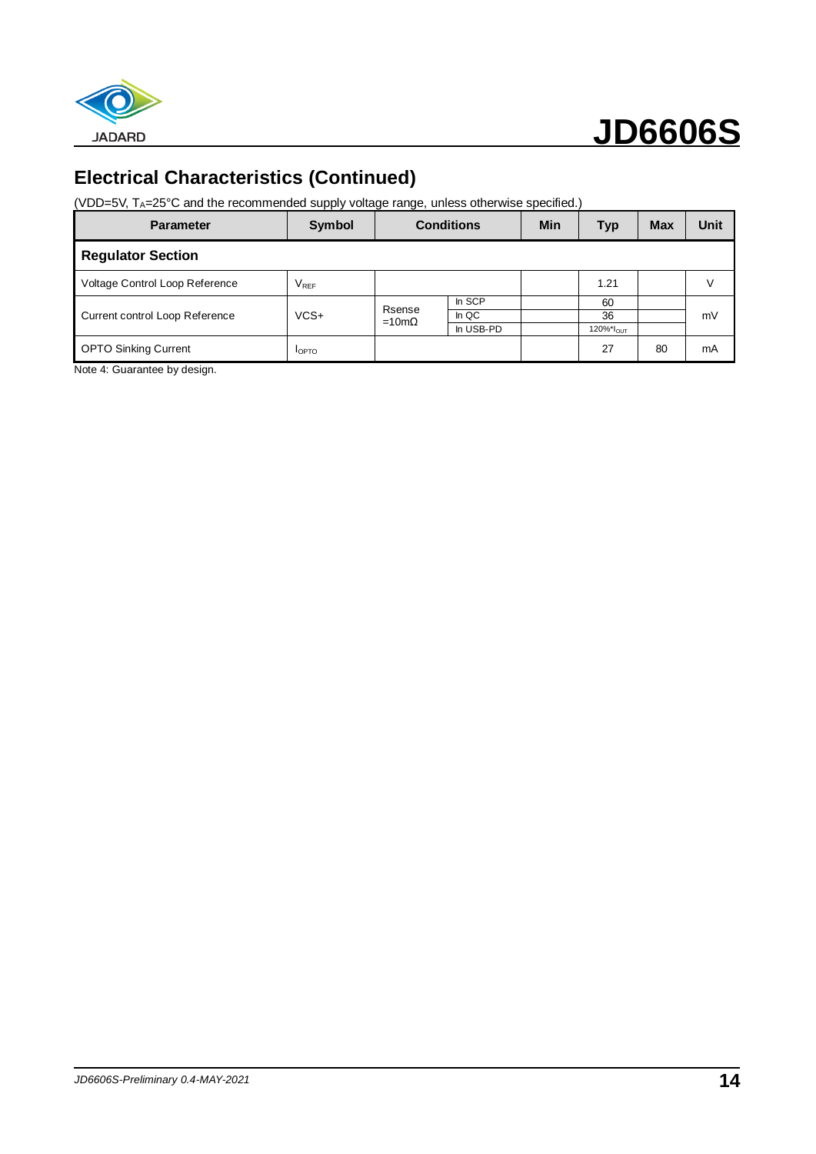

## **Electrical Characteristics (Continued)**

(VDD=5V, TA=25°C and the recommended supply voltage range, unless otherwise specified.)

| <b>Parameter</b>               | Symbol        | <b>Conditions</b>      |           | <b>Min</b> | <b>Typ</b>            | <b>Max</b> | Unit |
|--------------------------------|---------------|------------------------|-----------|------------|-----------------------|------------|------|
| <b>Regulator Section</b>       |               |                        |           |            |                       |            |      |
| Voltage Control Loop Reference | $V_{REF}$     |                        |           |            | 1.21                  |            | V    |
|                                |               |                        | In SCP    |            | 60                    |            |      |
| Current control Loop Reference | $VCS+$        | Rsense<br>$=10m\Omega$ | In QC     |            | 36                    |            | mV   |
|                                |               |                        | In USB-PD |            | 120%*I <sub>OUT</sub> |            |      |
| <b>OPTO Sinking Current</b>    | <b>I</b> OPTO |                        |           |            | 27                    | 80         | mA   |

Note 4: Guarantee by design.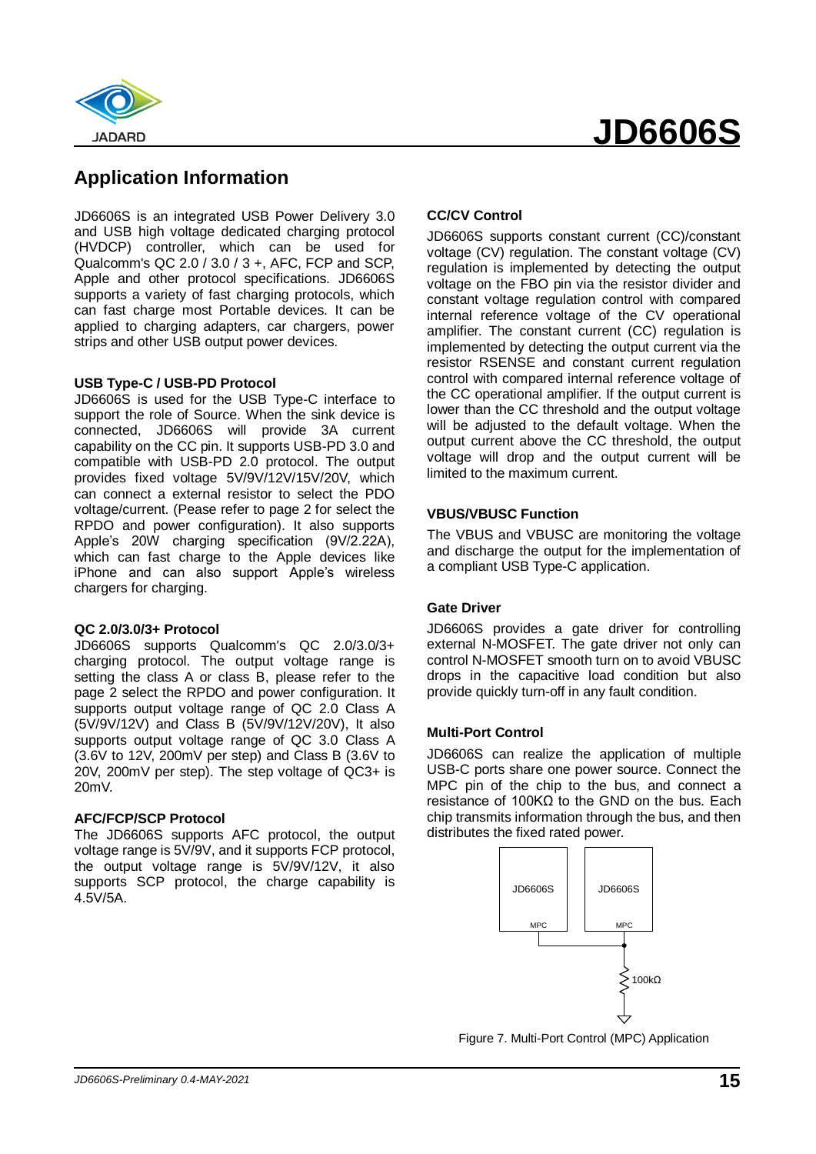



### **Application Information**

JD6606S is an integrated USB Power Delivery 3.0 and USB high voltage dedicated charging protocol (HVDCP) controller, which can be used for Qualcomm's QC 2.0 / 3.0 / 3 +, AFC, FCP and SCP, Apple and other protocol specifications. JD6606S supports a variety of fast charging protocols, which can fast charge most Portable devices. It can be applied to charging adapters, car chargers, power strips and other USB output power devices.

#### **USB Type-C / USB-PD Protocol**

JD6606S is used for the USB Type-C interface to support the role of Source. When the sink device is connected, JD6606S will provide 3A current capability on the CC pin. It supports USB-PD 3.0 and compatible with USB-PD 2.0 protocol. The output provides fixed voltage 5V/9V/12V/15V/20V, which can connect a external resistor to select the PDO voltage/current. (Pease refer to page 2 for select the RPDO and power configuration). It also supports Apple's 20W charging specification (9V/2.22A), which can fast charge to the Apple devices like iPhone and can also support Apple's wireless chargers for charging.

#### **QC 2.0/3.0/3+ Protocol**

JD6606S supports Qualcomm's QC 2.0/3.0/3+ charging protocol. The output voltage range is setting the class A or class B, please refer to the page 2 select the RPDO and power configuration. It supports output voltage range of QC 2.0 Class A (5V/9V/12V) and Class B (5V/9V/12V/20V), It also supports output voltage range of QC 3.0 Class A (3.6V to 12V, 200mV per step) and Class B (3.6V to 20V, 200mV per step). The step voltage of QC3+ is 20mV.

#### **AFC/FCP/SCP Protocol**

The JD6606S supports AFC protocol, the output voltage range is 5V/9V, and it supports FCP protocol, the output voltage range is 5V/9V/12V, it also supports SCP protocol, the charge capability is 4.5V/5A.

#### **CC/CV Control**

JD6606S supports constant current (CC)/constant voltage (CV) regulation. The constant voltage (CV) regulation is implemented by detecting the output voltage on the FBO pin via the resistor divider and constant voltage regulation control with compared internal reference voltage of the CV operational amplifier. The constant current (CC) regulation is implemented by detecting the output current via the resistor RSENSE and constant current regulation control with compared internal reference voltage of the CC operational amplifier. If the output current is lower than the CC threshold and the output voltage will be adjusted to the default voltage. When the output current above the CC threshold, the output voltage will drop and the output current will be limited to the maximum current.

#### **VBUS/VBUSC Function**

The VBUS and VBUSC are monitoring the voltage and discharge the output for the implementation of a compliant USB Type-C application.

#### **Gate Driver**

JD6606S provides a gate driver for controlling external N-MOSFET. The gate driver not only can control N-MOSFET smooth turn on to avoid VBUSC drops in the capacitive load condition but also provide quickly turn-off in any fault condition.

#### **Multi-Port Control**

JD6606S can realize the application of multiple USB-C ports share one power source. Connect the MPC pin of the chip to the bus, and connect a resistance of 100KΩ to the GND on the bus. Each chip transmits information through the bus, and then distributes the fixed rated power.



Figure 7. Multi-Port Control (MPC) Application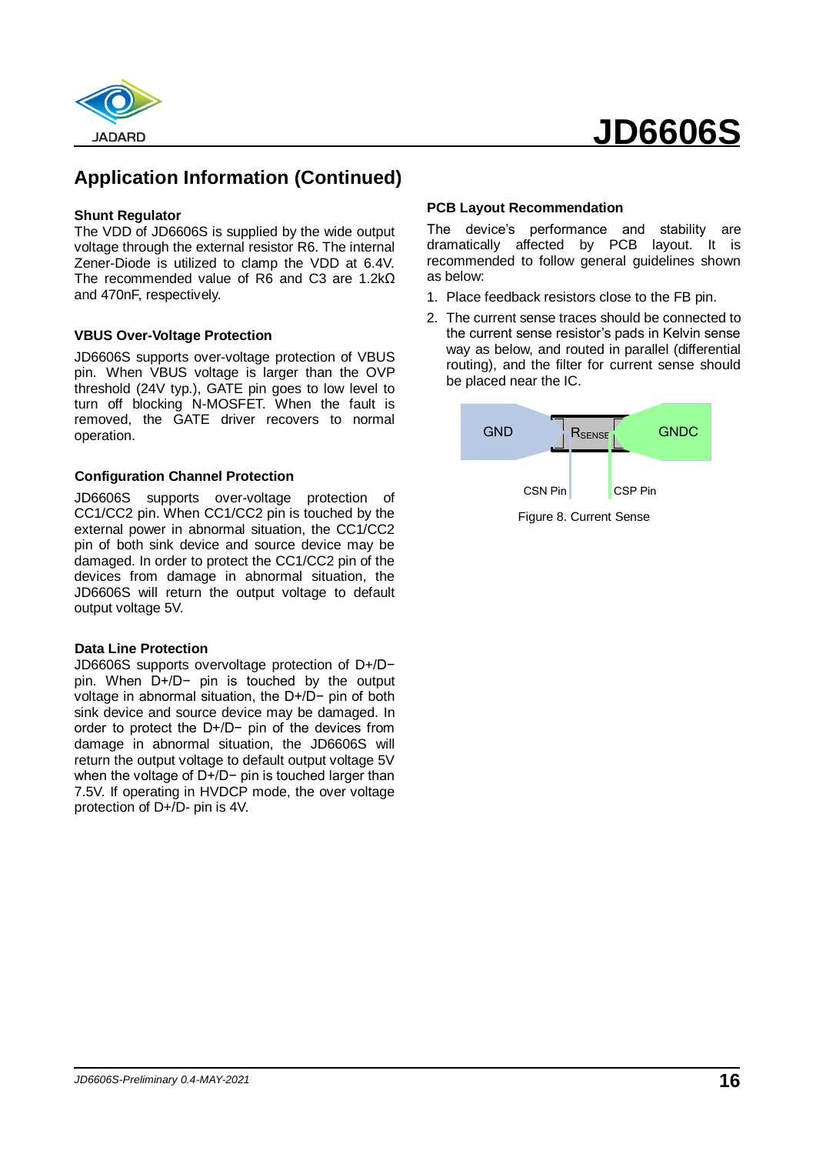

## **Application Information (Continued)**

#### **Shunt Regulator**

The VDD of JD6606S is supplied by the wide output voltage through the external resistor R6. The internal Zener-Diode is utilized to clamp the VDD at 6.4V. The recommended value of R6 and C3 are 1.2kΩ and 470nF, respectively.

#### **VBUS Over-Voltage Protection**

JD6606S supports over-voltage protection of VBUS pin. When VBUS voltage is larger than the OVP threshold (24V typ.), GATE pin goes to low level to turn off blocking N-MOSFET. When the fault is removed, the GATE driver recovers to normal operation.

#### **Configuration Channel Protection**

JD6606S supports over-voltage protection of CC1/CC2 pin. When CC1/CC2 pin is touched by the external power in abnormal situation, the CC1/CC2 pin of both sink device and source device may be damaged. In order to protect the CC1/CC2 pin of the devices from damage in abnormal situation, the JD6606S will return the output voltage to default output voltage 5V.

#### **Data Line Protection**

JD6606S supports overvoltage protection of D+/D− pin. When D+/D− pin is touched by the output voltage in abnormal situation, the D+/D− pin of both sink device and source device may be damaged. In order to protect the D+/D− pin of the devices from damage in abnormal situation, the JD6606S will return the output voltage to default output voltage 5V when the voltage of D+/D− pin is touched larger than 7.5V. If operating in HVDCP mode, the over voltage protection of D+/D- pin is 4V.

#### **PCB Layout Recommendation**

The device's performance and stability are dramatically affected by PCB layout. It is recommended to follow general guidelines shown as below:

- 1. Place feedback resistors close to the FB pin.
- 2. The current sense traces should be connected to the current sense resistor's pads in Kelvin sense way as below, and routed in parallel (differential routing), and the filter for current sense should be placed near the IC.

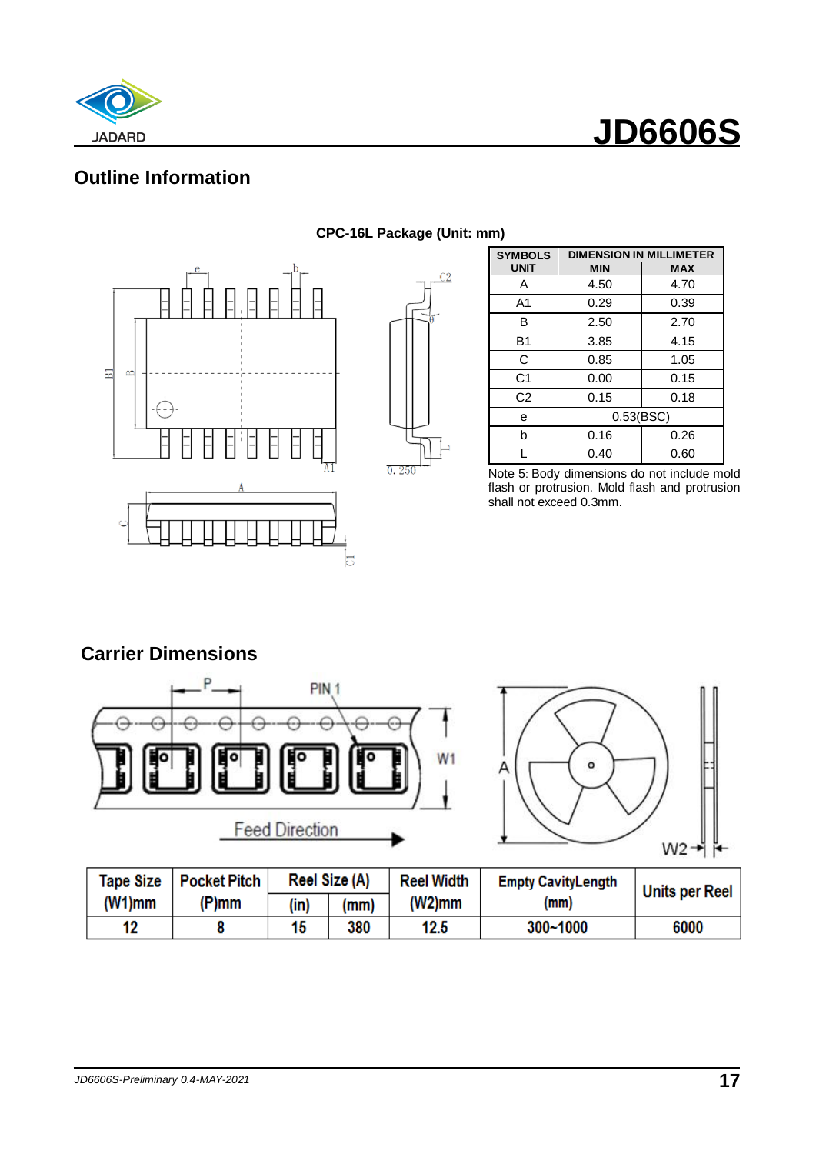



## **Outline Information**





| <b>SYMBOLS</b> | <b>DIMENSION IN MILLIMETER</b> |            |  |  |  |
|----------------|--------------------------------|------------|--|--|--|
| <b>UNIT</b>    | <b>MIN</b>                     | <b>MAX</b> |  |  |  |
| A              | 4.50                           | 4.70       |  |  |  |
| A1             | 0.29                           | 0.39       |  |  |  |
| в              | 2.50                           | 2.70       |  |  |  |
| B1             | 3.85                           | 4.15       |  |  |  |
| C              | 0.85                           | 1.05       |  |  |  |
| C <sub>1</sub> | 0.00                           | 0.15       |  |  |  |
| C <sub>2</sub> | 0.15                           | 0.18       |  |  |  |
| е              | 0.53(BSC)                      |            |  |  |  |
| b              | 0.16                           | 0.26       |  |  |  |
|                | 0.40                           | 0.60       |  |  |  |

Note 5: Body dimensions do not include mold flash or protrusion. Mold flash and protrusion shall not exceed 0.3mm.

### **Carrier Dimensions**





| Tape Size | <b>Pocket Pitch</b> |      | Reel Size (A) | <b>Reel Width</b><br><b>Empty CavityLength</b> |          | <b>Units per Reel</b> |
|-----------|---------------------|------|---------------|------------------------------------------------|----------|-----------------------|
| $(W1)$ mm | (P)mm               | (in) | (mm)          | (W2)mm                                         | (mm)     |                       |
| 12        |                     | 15   | 380           | 12.5                                           | 300~1000 | 6000                  |